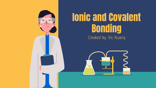

# Created by: Vic Kuang Ionic and Covalent **Bonding**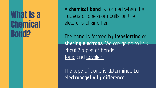# What is a **Chemical Bond?**

A **chemical bond** is formed when the nucleus of one atom pulls on the electrons of another.

The bond is formed by **transferring** or **sharing electrons**. We are going to talk about 2 types of bonds: lonic and Covalent.

The type of bond is determined by **electronegativity difference**..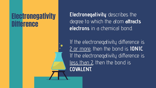#### **Electronegativity iference**

**Electronegativity** describes the degree to which the atom **attracts electrons** in a chemical bond.

If the electronegativity difference is 2 or more, then the bond is **IONIC**. If the electronegativity difference is less than 2, then the bond is **COVALENT.**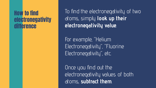#### How to find electronegativity **difference**

To find the electronegativity of two atoms, simply **look up their electronegativity value**.

For example, "Helium Electronegativity", "Fluorine Electronegativity", etc.

Once you find out the electronegativity values of both atoms, **subtract them**.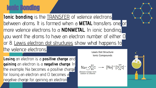### Ionic Bonding

**Ionic bonding** is the **TRANSFER** of valence electrons between atoms. It is formed when a **METAL** transfers one or more valence electrons to a **NONMETAL.** In ionic bonding, you want the atoms to have an electron number of either O or 8. Lewis electron dot structures show what happens to

the valence electrons.

**Losing** an electron is a **positive charge** and **gaining** an electron is a **negative charge**. In the example, Na becomes a positive charge for losing an electron and CI becomes a negative charge for gaining an electron

Lewis Dot Structure Ionic Compounds

 $\text{Na}_{\cdot}$ ;  $\ddot{C}$  :  $\rightarrow$   $\text{[Na]}^+$  [: $\ddot{C}$  :]<sup>-</sup>

electron transer trom<br>sodium to chlorine

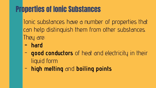# Properties of Ionic Substances

Ionic substances have a number of properties that can help distinguish them from other substances. They are:

- **- hard**
- **good conductors** of heat and electricity in their liquid form
- **high melting** and **boiling points**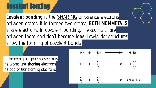## Covalent Bonding

**Covalent bonding** is the **SHARING** of valence electrons between atoms. It is formed two atoms, **BOTH NONMETALS** share electrons. In covalent bonding, the atoms share between them and **don't become ions**. Lewis dot structures show the forming of covalent bonds,

In the example, you can see how the atoms are **sharing** electrons instead of transferring electrons.

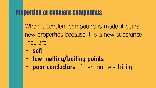#### Properties of Covalent Compounds

When a covalent compound is made, it gains new properties because it is a new substance. They are:

- **- soft**
- **- low melting/boiling points**
- **poor conductors** of heat and electricity.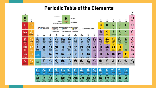#### **Periodic Table of the Elements**



94

Pu

Putanium

95

Am

**Americium** GAD

96

 $cm$ 

Curium<br>CHT

 $\sqrt{2}$ 

**Bk** 

Berkellum

 $18$ 

Cf

Californium

 $^{92}$ 

Es

Einsteinium

100

Fm

Farettum

 $057$ 

101

Md

Maindalestum

 $148.388$ 

102

No

Nebabian.

103

Lr

Lewisantum

 $\frac{010}{69.0104}$ 

89

Ac

Actinium<br>
227)<br>24-032-042

 $90$ 

Th

Therium<br>23204

n

Pa

Protactinium<br>23124<br>1815/2512

 $22$ 

U

Uranium<br>23803

93

**Np** 

Nephysical

 $\frac{dm}{16800M}$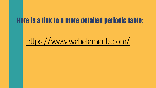#### Here is a link to a more detailed periodic table:

# <https://www.webelements.com/>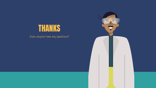



Does anyone have any questions?